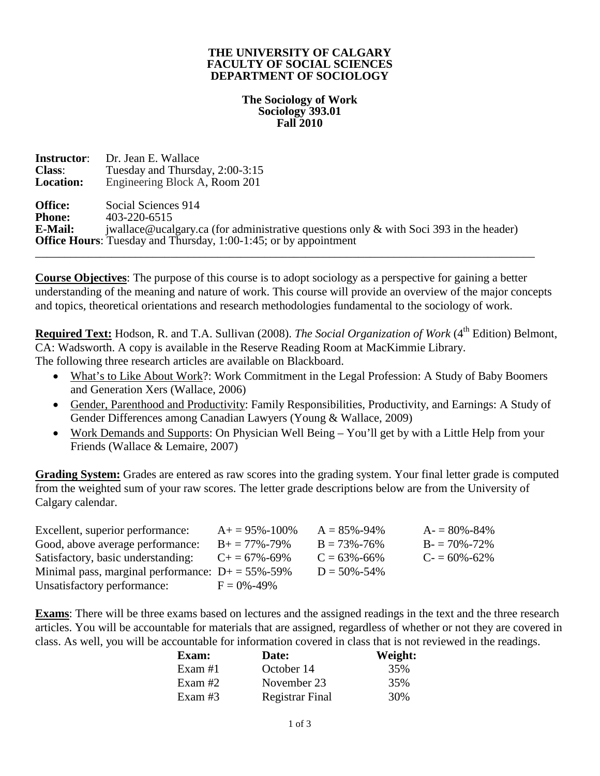### **THE UNIVERSITY OF CALGARY FACULTY OF SOCIAL SCIENCES DEPARTMENT OF SOCIOLOGY**

### **The Sociology of Work Sociology 393.01 Fall 2010**

| <b>Instructor:</b> | Dr. Jean E. Wallace                                                                       |
|--------------------|-------------------------------------------------------------------------------------------|
| <b>Class:</b>      | Tuesday and Thursday, 2:00-3:15                                                           |
| <b>Location:</b>   | Engineering Block A, Room 201                                                             |
| <b>Office:</b>     | Social Sciences 914                                                                       |
| <b>Phone:</b>      | 403-220-6515                                                                              |
| <b>E-Mail:</b>     | jwallace@ucalgary.ca (for administrative questions only $\&$ with Soci 393 in the header) |
|                    | <b>Office Hours:</b> Tuesday and Thursday, 1:00-1:45; or by appointment                   |
|                    |                                                                                           |

**Course Objectives**: The purpose of this course is to adopt sociology as a perspective for gaining a better understanding of the meaning and nature of work. This course will provide an overview of the major concepts and topics, theoretical orientations and research methodologies fundamental to the sociology of work.

Required Text: Hodson, R. and T.A. Sullivan (2008). *The Social Organization of Work* (4<sup>th</sup> Edition) Belmont, CA: Wadsworth. A copy is available in the Reserve Reading Room at MacKimmie Library. The following three research articles are available on Blackboard.

- What's to Like About Work?: Work Commitment in the Legal Profession: A Study of Baby Boomers and Generation Xers (Wallace, 2006)
- Gender, Parenthood and Productivity: Family Responsibilities, Productivity, and Earnings: A Study of Gender Differences among Canadian Lawyers (Young & Wallace, 2009)
- Work Demands and Supports: On Physician Well Being You'll get by with a Little Help from your Friends (Wallace & Lemaire, 2007)

**Grading System:** Grades are entered as raw scores into the grading system. Your final letter grade is computed from the weighted sum of your raw scores. The letter grade descriptions below are from the University of Calgary calendar.

| Excellent, superior performance:                       | $A+=95\% - 100\%$     | $A = 85\% - 94\%$ | $A = 80\% - 84\%$ |
|--------------------------------------------------------|-----------------------|-------------------|-------------------|
| Good, above average performance:                       | $B_+ = 77\% - 79\%$   | $B = 73\% - 76\%$ | $B = 70\% - 72\%$ |
| Satisfactory, basic understanding:                     | $C_{+} = 67\% - 69\%$ | $C = 63\% - 66\%$ | $C = 60\% - 62\%$ |
| Minimal pass, marginal performance: $D+ = 55\% - 59\%$ |                       | $D = 50\% - 54\%$ |                   |
| Unsatisfactory performance:                            | $F = 0\% - 49\%$      |                   |                   |

**Exams**: There will be three exams based on lectures and the assigned readings in the text and the three research articles. You will be accountable for materials that are assigned, regardless of whether or not they are covered in class. As well, you will be accountable for information covered in class that is not reviewed in the readings.

| Exam:     | Date:                  | Weight: |
|-----------|------------------------|---------|
| Exam $#1$ | October 14             | 35%     |
| Exam $#2$ | November 23            | 35%     |
| Exam $#3$ | <b>Registrar Final</b> | 30%     |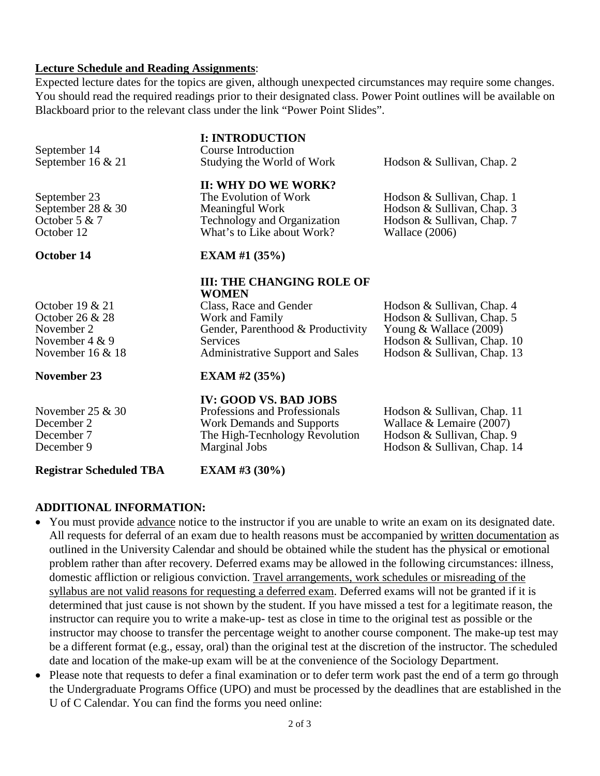### **Lecture Schedule and Reading Assignments**:

Expected lecture dates for the topics are given, although unexpected circumstances may require some changes. You should read the required readings prior to their designated class. Power Point outlines will be available on Blackboard prior to the relevant class under the link "Power Point Slides".

| <b>Registrar Scheduled TBA</b>                                                                | <b>EXAM</b> #3 $(30\%)$                                                                                                                                                                          |                                                                                                                                                    |
|-----------------------------------------------------------------------------------------------|--------------------------------------------------------------------------------------------------------------------------------------------------------------------------------------------------|----------------------------------------------------------------------------------------------------------------------------------------------------|
| November 25 $&$ 30<br>December 2<br>December 7<br>December 9                                  | <b>IV: GOOD VS. BAD JOBS</b><br>Professions and Professionals<br><b>Work Demands and Supports</b><br>The High-Tecnhology Revolution<br>Marginal Jobs                                             | Hodson & Sullivan, Chap. 11<br>Wallace $&$ Lemaire (2007)<br>Hodson & Sullivan, Chap. 9<br>Hodson & Sullivan, Chap. 14                             |
| <b>November 23</b>                                                                            | EXAM #2 $(35\%)$                                                                                                                                                                                 |                                                                                                                                                    |
| October 19 $& 21$<br>October 26 & 28<br>November 2<br>November $4 & 9$<br>November $16 \& 18$ | <b>III: THE CHANGING ROLE OF</b><br><b>WOMEN</b><br>Class, Race and Gender<br>Work and Family<br>Gender, Parenthood & Productivity<br><b>Services</b><br><b>Administrative Support and Sales</b> | Hodson & Sullivan, Chap. 4<br>Hodson & Sullivan, Chap. 5<br>Young $&$ Wallace (2009)<br>Hodson & Sullivan, Chap. 10<br>Hodson & Sullivan, Chap. 13 |
| October 14                                                                                    | <b>EXAM</b> #1 $(35\%)$                                                                                                                                                                          |                                                                                                                                                    |
| September 23<br>September 28 & 30<br>October 5 & 7<br>October 12                              | II: WHY DO WE WORK?<br>The Evolution of Work<br>Meaningful Work<br>Technology and Organization<br>What's to Like about Work?                                                                     | Hodson & Sullivan, Chap. 1<br>Hodson & Sullivan, Chap. 3<br>Hodson & Sullivan, Chap. 7<br>Wallace (2006)                                           |
| September 14<br>September $16 \& 21$                                                          | <b>I: INTRODUCTION</b><br>Course Introduction<br>Studying the World of Work                                                                                                                      | Hodson & Sullivan, Chap. 2                                                                                                                         |

# **ADDITIONAL INFORMATION:**

- You must provide advance notice to the instructor if you are unable to write an exam on its designated date. All requests for deferral of an exam due to health reasons must be accompanied by written documentation as outlined in the University Calendar and should be obtained while the student has the physical or emotional problem rather than after recovery. Deferred exams may be allowed in the following circumstances: illness, domestic affliction or religious conviction. Travel arrangements, work schedules or misreading of the syllabus are not valid reasons for requesting a deferred exam. Deferred exams will not be granted if it is determined that just cause is not shown by the student. If you have missed a test for a legitimate reason, the instructor can require you to write a make-up- test as close in time to the original test as possible or the instructor may choose to transfer the percentage weight to another course component. The make-up test may be a different format (e.g., essay, oral) than the original test at the discretion of the instructor. The scheduled date and location of the make-up exam will be at the convenience of the Sociology Department.
- Please note that requests to defer a final examination or to defer term work past the end of a term go through the Undergraduate Programs Office (UPO) and must be processed by the deadlines that are established in the U of C Calendar. You can find the forms you need online: